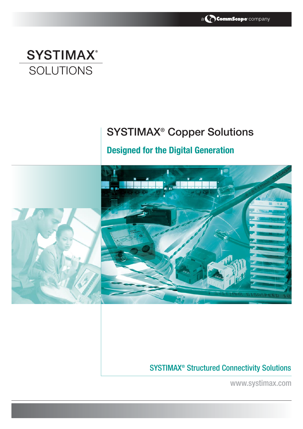

# **SYSTIMAX® SOLUTIONS**

# **SYSTIMAX® Copper Solutions**

## **Designed for the Digital Generation**



## SYSTIMAX® Structured Connectivity Solutions

www.systimax.com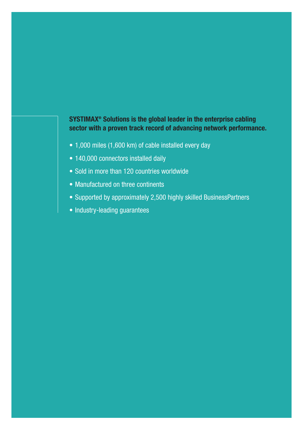## **SYSTIMAX® Solutions is the global leader in the enterprise cabling sector with a proven track record of advancing network performance.**

- 1,000 miles (1,600 km) of cable installed every day
- 140,000 connectors installed daily
- Sold in more than 120 countries worldwide
- Manufactured on three continents
- Supported by approximately 2,500 highly skilled BusinessPartners
- Industry-leading guarantees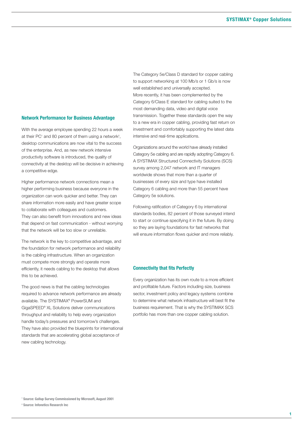#### **Network Performance for Business Advantage**

With the average employee spending 22 hours a week at their PC<sup>1</sup> and 80 percent of them using a network<sup>2</sup>, desktop communications are now vital to the success of the enterprise. And, as new network intensive productivity software is introduced, the quality of connectivity at the desktop will be decisive in achieving a competitive edge.

Higher performance network connections mean a higher performing business because everyone in the organization can work quicker and better. They can share information more easily and have greater scope to collaborate with colleagues and customers. They can also benefit from innovations and new ideas that depend on fast communication - without worrying that the network will be too slow or unreliable.

The network is the key to competitive advantage, and the foundation for network performance and reliability is the cabling infrastructure. When an organization must compete more strongly and operate more efficiently, it needs cabling to the desktop that allows this to be achieved.

The good news is that the cabling technologies required to advance network performance are already available. The SYSTIMAX® PowerSUM and GigaSPEED® XL Solutions deliver communications throughput and reliability to help every organization handle today's pressures and tomorrow's challenges. They have also provided the blueprints for international standards that are accelerating global acceptance of new cabling technology.

The Category 5e/Class D standard for copper cabling to support networking at 100 Mb/s or 1 Gb/s is now well established and universally accepted. More recently, it has been complemented by the Category 6/Class E standard for cabling suited to the most demanding data, video and digital voice transmission. Together these standards open the way to a new era in copper cabling, providing fast return on investment and comfortably supporting the latest data intensive and real-time applications.

Organizations around the world have already installed Category 5e cabling and are rapidly adopting Category 6. A SYSTIMAX Structured Connectivity Solutions (SCS) survey among 2,047 network and IT managers worldwide shows that more than a quarter of businesses of every size and type have installed Category 6 cabling and more than 55 percent have Category 5e solutions.

Following ratification of Category 6 by international standards bodies, 82 percent of those surveyed intend to start or continue specifying it in the future. By doing so they are laying foundations for fast networks that will ensure information flows quicker and more reliably.

#### **Connectivity that fits Perfectly**

Every organization has its own route to a more efficient and profitable future. Factors including size, business sector, investment policy and legacy systems combine to determine what network infrastructure will best fit the business requirement. That is why the SYSTIMAX SCS portfolio has more than one copper cabling solution.

**<sup>2</sup> Source: Infonetics Research Inc**

**<sup>1</sup> Source: Gallup Survey Commissioned by Microsoft, August 2001**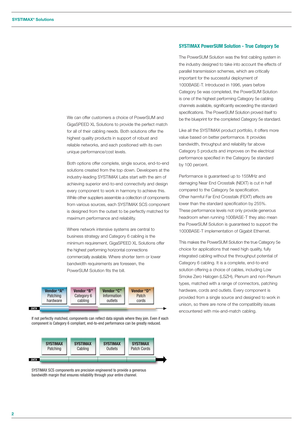We can offer customers a choice of PowerSUM and GigaSPEED XL Solutions to provide the perfect match for all of their cabling needs. Both solutions offer the highest quality products in support of robust and reliable networks, and each positioned with its own unique performance/cost levels.

Both options offer complete, single source, end-to-end solutions created from the top down. Developers at the industry-leading SYSTIMAX Labs start with the aim of achieving superior end-to-end connectivity and design every component to work in harmony to achieve this. While other suppliers assemble a collection of components from various sources, each SYSTIMAX SCS component is designed from the outset to be perfectly matched for maximum performance and reliability.

Where network intensive systems are central to business strategy and Category 6 cabling is the minimum requirement, GigaSPEED XL Solutions offer the highest performing horizontal connections commercially available. Where shorter term or lower bandwidth requirements are foreseen, the PowerSUM Solution fits the bill.



If not perfectly matched, components can reflect data signals where they join. Even if each component is Category 6 compliant, end-to-end performance can be greatly reduced.



SYSTIMAX SCS components are precision engineered to provide a generous bandwidth margin that ensures reliability through your entire channel.

#### **SYSTIMAX PowerSUM Solution - True Category 5e**

The PowerSUM Solution was the first cabling system in the industry designed to take into account the effects of parallel transmission schemes, which are critically important for the successful deployment of 1000BASE-T. Introduced in 1996, years before Category 5e was completed, the PowerSUM Solution is one of the highest performing Category 5e cabling channels available, significantly exceeding the standard specifications. The PowerSUM Solution proved itself to be the blueprint for the completed Category 5e standard.

Like all the SYSTIMAX product portfolio, it offers more value based on better performance. It provides bandwidth, throughput and reliability far above Category 5 products and improves on the electrical performance specified in the Category 5e standard by 100 percent.

Performance is guaranteed up to 155MHz and damaging Near End Crosstalk (NEXT) is cut in half compared to the Category 5e specification. Other harmful Far End Crosstalk (FEXT) effects are lower than the standard specification by 255%. These performance levels not only provide generous headroom when running 100BASE-T they also mean the PowerSUM Solution is guaranteed to support the 1000BASE-T implementation of Gigabit Ethernet.

This makes the PowerSUM Solution the true Category 5e choice for applications that need high quality, fully integrated cabling without the throughput potential of Category 6 cabling. It is a complete, end-to-end solution offering a choice of cables, including Low Smoke Zero Halogen (LSZH), Plenum and non-Plenum types, matched with a range of connectors, patching hardware, cords and outlets. Every component is provided from a single source and designed to work in unison, so there are none of the compatibility issues encountered with mix-and-match cabling.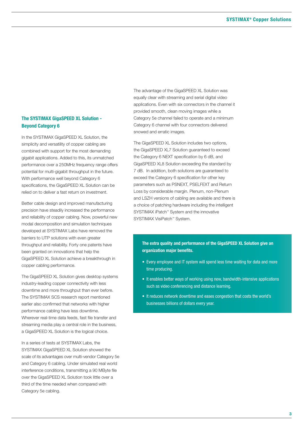## **The SYSTIMAX GigaSPEED XL Solution - Beyond Category 6**

In the SYSTIMAX GigaSPEED XL Solution, the simplicity and versatility of copper cabling are combined with support for the most demanding gigabit applications. Added to this, its unmatched performance over a 250MHz frequency range offers potential for multi-gigabit throughput in the future. With performance well beyond Category 6 specifications, the GigaSPEED XL Solution can be relied on to deliver a fast return on investment.

Better cable design and improved manufacturing precision have steadily increased the performance and reliability of copper cabling. Now, powerful new modal decomposition and simulation techniques developed at SYSTIMAX Labs have removed the barriers to UTP solutions with even greater throughput and reliability. Forty one patents have been granted on innovations that help the GigaSPEED XL Solution achieve a breakthrough in copper cabling performance.

The GigaSPEED XL Solution gives desktop systems industry-leading copper connectivity with less downtime and more throughput than ever before. The SYSTIMAX SCS research report mentioned earlier also confirmed that networks with higher performance cabling have less downtime. Wherever real-time data feeds, fast file transfer and streaming media play a central role in the business, a GigaSPEED XL Solution is the logical choice.

In a series of tests at SYSTIMAX Labs, the SYSTIMAX GigaSPEED XL Solution showed the scale of its advantages over multi-vendor Category 5e and Category 6 cabling. Under simulated real world interference conditions, transmitting a 90 MByte file over the GigaSPEED XL Solution took little over a third of the time needed when compared with Category 5e cabling.

The advantage of the GigaSPEED XL Solution was equally clear with streaming and serial digital video applications. Even with six connectors in the channel it provided smooth, clean moving images while a Category 5e channel failed to operate and a minimum Category 6 channel with four connectors delivered snowed and erratic images.

The GigaSPEED XL Solution includes two options, the GigaSPEED XL7 Solution guaranteed to exceed the Category 6 NEXT specification by 6 dB, and GigaSPEED XL8 Solution exceeding the standard by 7 dB. In addition, both solutions are guaranteed to exceed the Category 6 specification for other key parameters such as PSNEXT, PSELFEXT and Return Loss by considerable margin. Plenum, non-Plenum and LSZH versions of cabling are available and there is a choice of patching hardware including the intelligent SYSTIMAX iPatch™ System and the innovative SYSTIMAX VisiPatch<sup>™</sup> System.

**The extra quality and performance of the GigaSPEED XL Solution give an organization major benefits.**

- Every employee and IT system will spend less time waiting for data and more time producing.
- It enables better ways of working using new, bandwidth-intensive applications such as video conferencing and distance learning.
- It reduces network downtime and eases congestion that costs the world's businesses billions of dollars every year.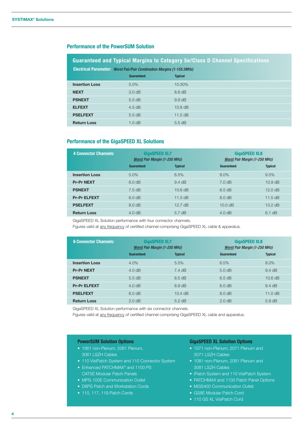### **Performance of the PowerSUM Solution**

## **Guaranteed and Typical Margins to Category 5e/Class D Channel Specifications**

| <b>Electrical Parameter: Worst Pair/Pair Combination Margins (1-155.5MHz)</b> |                   |                  |  |  |
|-------------------------------------------------------------------------------|-------------------|------------------|--|--|
|                                                                               | <b>Guaranteed</b> | <b>Typical</b>   |  |  |
| <b>Insertion Loss</b>                                                         | $5.0\%$           | 10.30%           |  |  |
| <b>NEXT</b>                                                                   | $3.0 \text{ dB}$  | $8.8$ dB         |  |  |
| <b>PSNEXT</b>                                                                 | $5.5$ dB          | $9.9 \text{ dB}$ |  |  |
| <b>ELFEXT</b>                                                                 | $4.5$ dB          | $10.8$ dB        |  |  |
| <b>PSELFEXT</b>                                                               | $5.5$ dB          | $11.5$ dB        |  |  |
| <b>Return Loss</b>                                                            | 1.0 dB            | $5.5$ dB         |  |  |

#### **Performance of the GigaSPEED XL Solutions**

| <b>4 Connector Channels:</b> | <b>GigaSPEED XL7</b><br><b>Worst Pair Margin (1-250 MHz)</b> |                   | <b>GigaSPEED XL8</b><br><b>Worst Pair Margin (1-250 MHz)</b> |                   |
|------------------------------|--------------------------------------------------------------|-------------------|--------------------------------------------------------------|-------------------|
|                              | <b>Guaranteed</b>                                            | <b>Typical</b>    | Guaranteed                                                   | <b>Typical</b>    |
| <b>Insertion Loss</b>        | 5.0%                                                         | 6.5%              | 8.0%                                                         | 9.5%              |
| <b>Pr-Pr NEXT</b>            | 6.0 dB                                                       | $9.4 \text{ dB}$  | 7.0 dB                                                       | $10.9$ dB         |
| <b>PSNEXT</b>                | $7.5 \text{ dB}$                                             | 10.6 dB           | $8.5 \text{ dB}$                                             | 12.0 dB           |
| <b>Pr-Pr ELFEXT</b>          | 6.0 dB                                                       | 11.3 $dB$         | $8.0 \text{ dB}$                                             | 11.5 $dB$         |
| <b>PSELFEXT</b>              | 8.0 dB                                                       | $12.7 \text{ dB}$ | 10.0 dB                                                      | $13.2 \text{ dB}$ |
| <b>Return Loss</b>           | 4.0 dB                                                       | $5.7$ dB          | $4.0 \text{ dB}$                                             | $6.1$ dB          |

GigaSPEED XL Solution performance with four connector channels.

Figures valid at any frequency of certified channel comprising GigaSPEED XL cable & apparatus.

| <b>6 Connector Channels:</b> | <b>GigaSPEED XL7</b><br><b>Worst Pair Margin (1-250 MHz)</b> |                  | <b>GigaSPEED XL8</b><br><b>Worst Pair Margin (1-250 MHz)</b> |                  |
|------------------------------|--------------------------------------------------------------|------------------|--------------------------------------------------------------|------------------|
|                              | Guaranteed                                                   | <b>Typical</b>   | Guaranteed                                                   | <b>Typical</b>   |
| <b>Insertion Loss</b>        | 4.0%                                                         | 5.5%             | 6.5%                                                         | 8.0%             |
| <b>Pr-Pr NEXT</b>            | 4.0 dB                                                       | $7.4$ dB         | 5.0 dB                                                       | $9.4 \text{ dB}$ |
| <b>PSNEXT</b>                | $5.5 \text{ dB}$                                             | $8.5 \text{ dB}$ | 6.5 dB                                                       | 10.6 dB          |
| <b>Pr-Pr ELFEXT</b>          | 4.0 dB                                                       | $8.9 \text{ dB}$ | 6.0 dB                                                       | $9.4 \text{ dB}$ |
| <b>PSELFEXT</b>              | 6.0 dB                                                       | $10.4$ dB        | 8.0 dB                                                       | 11.0 dB          |
| <b>Return Loss</b>           | 2.0 dB                                                       | $5.2$ dB         | 2.0 dB                                                       | $5.9 \text{ dB}$ |

GigaSPEED XL Solution performance with six connector channels.

Figures valid at any frequency of certified channel comprising GigaSPEED XL cable and apparatus.

#### **PowerSUM Solution Options**

- 1061 non-Plenum, 2061 Plenum, 3061 LSZH Cables
- 110 VisiPatch System and 110 Connector System
- Enhanced PATCHMAX<sup>®</sup> and 1100 PS CAT5E Modular Patch Panels
- MPS-100E Communication Outlet
- D8PS Patch and Workstation Cords
- 110, 117, 119 Patch Cords

#### **GigaSPEED XL Solution Options**

- 1071 non-Plenum, 2071 Plenum and 3071 LSZH Cables
- 1081 non-Plenum, 2081 Plenum and 3081 LSZH Cables
- iPatch System and 110 VisiPatch System
- PATCHMAX and 1100 Patch Panel Options
- MGS400 Communication Outlet
- GS8E Modular Patch Cord
- 110 GS XL VisiPatch Cord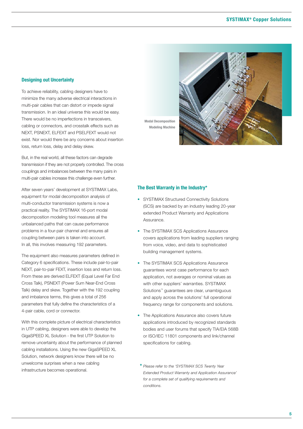### **Designing out Uncertainty**

To achieve reliability, cabling designers have to minimize the many adverse electrical interactions in multi-pair cables that can distort or impede signal transmission. In an ideal universe this would be easy. There would be no imperfections in transceivers, cabling or connectors, and crosstalk effects such as NEXT, PSNEXT, ELFEXT and PSELFEXT would not exist. Nor would there be any concerns about insertion loss, return loss, delay and delay skew.

But, in the real world, all these factors can degrade transmission if they are not properly controlled. The cross couplings and imbalances between the many pairs in multi-pair cables increase this challenge even further.

After seven years' development at SYSTIMAX Labs, equipment for modal decomposition analysis of multi-conductor transmission systems is now a practical reality. The SYSTIMAX 16-port modal decomposition modeling tool measures all the unbalanced paths that can cause performance problems in a four-pair channel and ensures all coupling between pairs is taken into account. In all, this involves measuring 192 parameters.

The equipment also measures parameters defined in Category 6 specifications. These include pair-to-pair NEXT, pair-to-pair FEXT, insertion loss and return loss. From these are derived ELFEXT (Equal Level Far End Cross Talk), PSNEXT (Power Sum Near-End Cross Talk) delay and skew. Together with the 192 coupling and imbalance terms, this gives a total of 256 parameters that fully define the characteristics of a 4-pair cable, cord or connector.

With this complete picture of electrical characteristics in UTP cabling, designers were able to develop the GigaSPEED XL Solution - the first UTP Solution to remove uncertainty about the performance of planned cabling installations. Using the new GigaSPEED XL Solution, network designers know there will be no unwelcome surprises when a new cabling infrastructure becomes operational.

**Modal Decomposition**

**Modeling Machine**

#### **The Best Warranty in the Industry\***

- SYSTIMAX Structured Connectivity Solutions (SCS) are backed by an industry leading 20-year extended Product Warranty and Applications Assurance.
- The SYSTIMAX SCS Applications Assurance covers applications from leading suppliers ranging from voice, video, and data to sophisticated building management systems.
- The SYSTIMAX SCS Applications Assurance guarantees worst case performance for each application, not averages or nominal values as with other suppliers' warranties. SYSTIMAX Solutions™ guarantees are clear, unambiguous and apply across the solutions' full operational frequency range for components and solutions.
- The Applications Assurance also covers future applications introduced by recognized standards bodies and user forums that specify TIA/EIA 568B or ISO/IEC 11801 components and link/channel specifications for cabling.
- **\*** *Please refer to the 'SYSTIMAX SCS Twenty Year Extended Product Warranty and Application Assurance' for a complete set of qualifying requirements and conditions.*